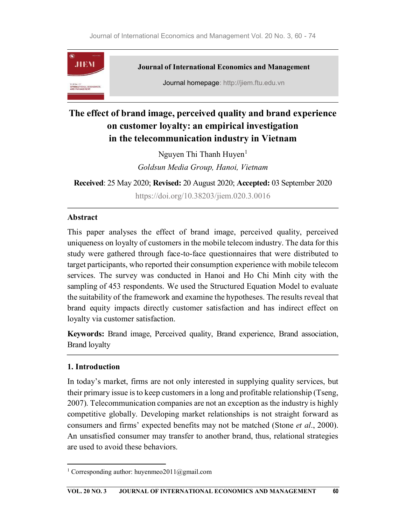

# The effect of brand image, perceived quality and brand experience on customer loyalty: an empirical investigation in the telecommunication industry in Vietnam

Nguyen Thi Thanh Huyen $<sup>1</sup>$ </sup> Goldsun Media Group, Hanoi, Vietnam

Received: 25 May 2020; Revised: 20 August 2020; Accepted: 03 September 2020

https://doi.org/10.38203/jiem.020.3.0016

### Abstract

This paper analyses the effect of brand image, perceived quality, perceived uniqueness on loyalty of customers in the mobile telecom industry. The data for this study were gathered through face-to-face questionnaires that were distributed to target participants, who reported their consumption experience with mobile telecom services. The survey was conducted in Hanoi and Ho Chi Minh city with the sampling of 453 respondents. We used the Structured Equation Model to evaluate the suitability of the framework and examine the hypotheses. The results reveal that brand equity impacts directly customer satisfaction and has indirect effect on loyalty via customer satisfaction.

Keywords: Brand image, Perceived quality, Brand experience, Brand association, Brand loyalty

# 1. Introduction

In today's market, firms are not only interested in supplying quality services, but their primary issue is to keep customers in a long and profitable relationship (Tseng, 2007). Telecommunication companies are not an exception as the industry is highly competitive globally. Developing market relationships is not straight forward as consumers and firms' expected benefits may not be matched (Stone et al., 2000). An unsatisfied consumer may transfer to another brand, thus, relational strategies are used to avoid these behaviors.

<sup>&</sup>lt;sup>1</sup> Corresponding author: huyenmeo2011@gmail.com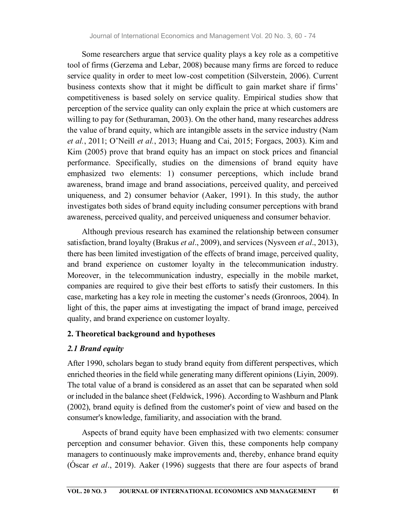Some researchers argue that service quality plays a key role as a competitive tool of firms (Gerzema and Lebar, 2008) because many firms are forced to reduce service quality in order to meet low-cost competition (Silverstein, 2006). Current business contexts show that it might be difficult to gain market share if firms' competitiveness is based solely on service quality. Empirical studies show that perception of the service quality can only explain the price at which customers are willing to pay for (Sethuraman, 2003). On the other hand, many researches address the value of brand equity, which are intangible assets in the service industry (Nam et al., 2011; O'Neill et al., 2013; Huang and Cai, 2015; Forgacs, 2003). Kim and Kim (2005) prove that brand equity has an impact on stock prices and financial performance. Specifically, studies on the dimensions of brand equity have emphasized two elements: 1) consumer perceptions, which include brand awareness, brand image and brand associations, perceived quality, and perceived uniqueness, and 2) consumer behavior (Aaker, 1991). In this study, the author investigates both sides of brand equity including consumer perceptions with brand awareness, perceived quality, and perceived uniqueness and consumer behavior.

Although previous research has examined the relationship between consumer satisfaction, brand loyalty (Brakus *et al.*, 2009), and services (Nysveen *et al.*, 2013), there has been limited investigation of the effects of brand image, perceived quality, and brand experience on customer loyalty in the telecommunication industry. Moreover, in the telecommunication industry, especially in the mobile market, companies are required to give their best efforts to satisfy their customers. In this case, marketing has a key role in meeting the customer's needs (Gronroos, 2004). In light of this, the paper aims at investigating the impact of brand image, perceived quality, and brand experience on customer loyalty.

#### 2. Theoretical background and hypotheses

### 2.1 Brand equity

After 1990, scholars began to study brand equity from different perspectives, which enriched theories in the field while generating many different opinions (Liyin, 2009). The total value of a brand is considered as an asset that can be separated when sold or included in the balance sheet (Feldwick, 1996). According to Washburn and Plank (2002), brand equity is defined from the customer's point of view and based on the consumer's knowledge, familiarity, and association with the brand.

Aspects of brand equity have been emphasized with two elements: consumer perception and consumer behavior. Given this, these components help company managers to continuously make improvements and, thereby, enhance brand equity (Óscar et al., 2019). Aaker (1996) suggests that there are four aspects of brand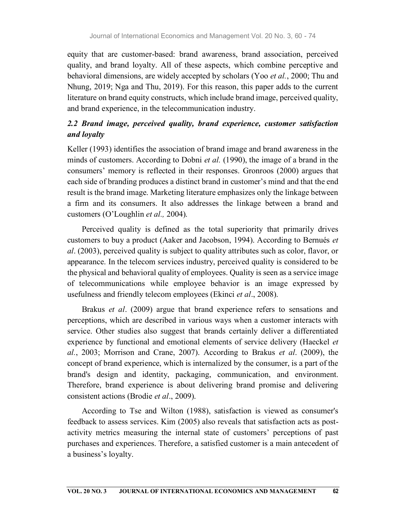equity that are customer-based: brand awareness, brand association, perceived quality, and brand loyalty. All of these aspects, which combine perceptive and behavioral dimensions, are widely accepted by scholars (Yoo et al., 2000; Thu and Nhung, 2019; Nga and Thu, 2019). For this reason, this paper adds to the current literature on brand equity constructs, which include brand image, perceived quality, and brand experience, in the telecommunication industry.

# 2.2 Brand image, perceived quality, brand experience, customer satisfaction and loyalty

Keller (1993) identifies the association of brand image and brand awareness in the minds of customers. According to Dobni *et al.* (1990), the image of a brand in the consumers' memory is reflected in their responses. Gronroos (2000) argues that each side of branding produces a distinct brand in customer's mind and that the end result is the brand image. Marketing literature emphasizes only the linkage between a firm and its consumers. It also addresses the linkage between a brand and customers (O'Loughlin et al., 2004).

Perceived quality is defined as the total superiority that primarily drives customers to buy a product (Aaker and Jacobson, 1994). According to Bernués et al. (2003), perceived quality is subject to quality attributes such as color, flavor, or appearance. In the telecom services industry, perceived quality is considered to be the physical and behavioral quality of employees. Quality is seen as a service image of telecommunications while employee behavior is an image expressed by usefulness and friendly telecom employees (Ekinci et al., 2008).

Brakus et al. (2009) argue that brand experience refers to sensations and perceptions, which are described in various ways when a customer interacts with service. Other studies also suggest that brands certainly deliver a differentiated experience by functional and emotional elements of service delivery (Haeckel *et* al., 2003; Morrison and Crane, 2007). According to Brakus et al. (2009), the concept of brand experience, which is internalized by the consumer, is a part of the brand's design and identity, packaging, communication, and environment. Therefore, brand experience is about delivering brand promise and delivering consistent actions (Brodie et al., 2009).

According to Tse and Wilton (1988), satisfaction is viewed as consumer's feedback to assess services. Kim (2005) also reveals that satisfaction acts as postactivity metrics measuring the internal state of customers' perceptions of past purchases and experiences. Therefore, a satisfied customer is a main antecedent of a business's loyalty.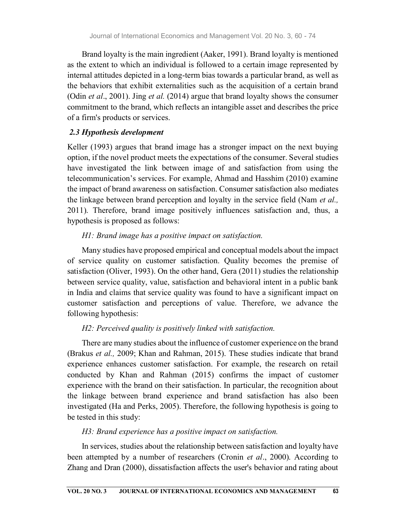Brand loyalty is the main ingredient (Aaker, 1991). Brand loyalty is mentioned as the extent to which an individual is followed to a certain image represented by internal attitudes depicted in a long-term bias towards a particular brand, as well as the behaviors that exhibit externalities such as the acquisition of a certain brand (Odin *et al.*, 2001). Jing *et al.* (2014) argue that brand loyalty shows the consumer commitment to the brand, which reflects an intangible asset and describes the price of a firm's products or services.

### 2.3 Hypothesis development

Keller (1993) argues that brand image has a stronger impact on the next buying option, if the novel product meets the expectations of the consumer. Several studies have investigated the link between image of and satisfaction from using the telecommunication's services. For example, Ahmad and Hasshim (2010) examine the impact of brand awareness on satisfaction. Consumer satisfaction also mediates the linkage between brand perception and loyalty in the service field (Nam *et al.*, 2011). Therefore, brand image positively influences satisfaction and, thus, a hypothesis is proposed as follows:

### H1: Brand image has a positive impact on satisfaction.

Many studies have proposed empirical and conceptual models about the impact of service quality on customer satisfaction. Quality becomes the premise of satisfaction (Oliver, 1993). On the other hand, Gera (2011) studies the relationship between service quality, value, satisfaction and behavioral intent in a public bank in India and claims that service quality was found to have a significant impact on customer satisfaction and perceptions of value. Therefore, we advance the following hypothesis:

#### H2: Perceived quality is positively linked with satisfaction.

There are many studies about the influence of customer experience on the brand (Brakus et al., 2009; Khan and Rahman, 2015). These studies indicate that brand experience enhances customer satisfaction. For example, the research on retail conducted by Khan and Rahman (2015) confirms the impact of customer experience with the brand on their satisfaction. In particular, the recognition about the linkage between brand experience and brand satisfaction has also been investigated (Ha and Perks, 2005). Therefore, the following hypothesis is going to be tested in this study:

### H3: Brand experience has a positive impact on satisfaction.

In services, studies about the relationship between satisfaction and loyalty have been attempted by a number of researchers (Cronin et al., 2000). According to Zhang and Dran (2000), dissatisfaction affects the user's behavior and rating about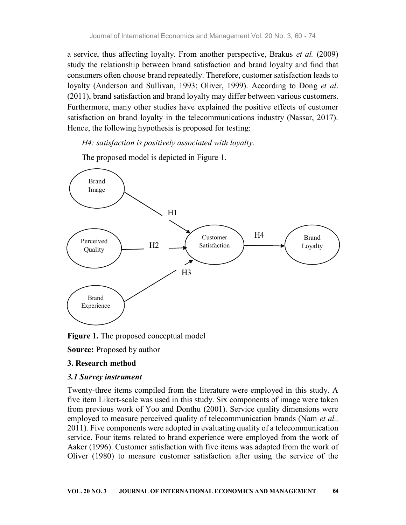a service, thus affecting loyalty. From another perspective, Brakus et al. (2009) study the relationship between brand satisfaction and brand loyalty and find that consumers often choose brand repeatedly. Therefore, customer satisfaction leads to loyalty (Anderson and Sullivan, 1993; Oliver, 1999). According to Dong et al. (2011), brand satisfaction and brand loyalty may differ between various customers. Furthermore, many other studies have explained the positive effects of customer satisfaction on brand loyalty in the telecommunications industry (Nassar, 2017). Hence, the following hypothesis is proposed for testing:

H4: satisfaction is positively associated with loyalty.<br>The proposed model is depicted in Figure 1.



Figure 1. The proposed conceptual model

Source: Proposed by author

# 3. Research method

# 3.1 Survey instrument

Twenty-three items compiled from the literature were employed in this study. A five item Likert-scale was used in this study. Six components of image were taken from previous work of Yoo and Donthu (2001). Service quality dimensions were employed to measure perceived quality of telecommunication brands (Nam et al., 2011). Five components were adopted in evaluating quality of a telecommunication service. Four items related to brand experience were employed from the work of Aaker (1996). Customer satisfaction with five items was adapted from the work of Oliver (1980) to measure customer satisfaction after using the service of the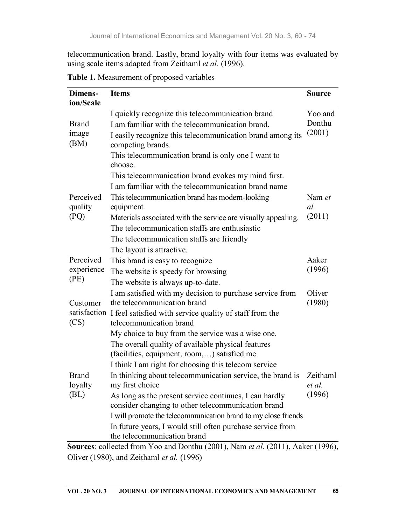telecommunication brand. Lastly, brand loyalty with four items was evaluated by using scale items adapted from Zeithaml et al. (1996).

| Dimens-<br>ion/Scale            | <b>Items</b>                                                                                                 | <b>Source</b> |  |  |  |
|---------------------------------|--------------------------------------------------------------------------------------------------------------|---------------|--|--|--|
|                                 | I quickly recognize this telecommunication brand                                                             | Yoo and       |  |  |  |
| <b>Brand</b>                    | I am familiar with the telecommunication brand.                                                              |               |  |  |  |
| image<br>(BM)                   | (2001)<br>I easily recognize this telecommunication brand among its<br>competing brands.                     |               |  |  |  |
|                                 | This telecommunication brand is only one I want to<br>choose.                                                |               |  |  |  |
|                                 | This telecommunication brand evokes my mind first.                                                           |               |  |  |  |
|                                 | I am familiar with the telecommunication brand name                                                          |               |  |  |  |
| Perceived<br>quality            | This telecommunication brand has modern-looking<br>equipment.                                                | Nam et<br>al. |  |  |  |
| (PQ)                            | Materials associated with the service are visually appealing.                                                | (2011)        |  |  |  |
|                                 | The telecommunication staffs are enthusiastic                                                                |               |  |  |  |
|                                 | The telecommunication staffs are friendly                                                                    |               |  |  |  |
|                                 | The layout is attractive.                                                                                    |               |  |  |  |
| Perceived                       | This brand is easy to recognize                                                                              |               |  |  |  |
| experience                      | The website is speedy for browsing                                                                           |               |  |  |  |
| (PE)                            | The website is always up-to-date.                                                                            |               |  |  |  |
|                                 | I am satisfied with my decision to purchase service from                                                     | Oliver        |  |  |  |
| Customer                        | the telecommunication brand                                                                                  | (1980)        |  |  |  |
| (CS)                            | satisfaction I feel satisfied with service quality of staff from the<br>telecommunication brand              |               |  |  |  |
|                                 | My choice to buy from the service was a wise one.                                                            |               |  |  |  |
|                                 | The overall quality of available physical features<br>(facilities, equipment, room,) satisfied me            |               |  |  |  |
|                                 | I think I am right for choosing this telecom service                                                         |               |  |  |  |
| <b>Brand</b><br>loyalty<br>(BL) | In thinking about telecommunication service, the brand is Zeithaml<br>my first choice                        |               |  |  |  |
|                                 | As long as the present service continues, I can hardly<br>consider changing to other telecommunication brand |               |  |  |  |
|                                 | I will promote the telecommunication brand to my close friends                                               |               |  |  |  |
|                                 | In future years, I would still often purchase service from<br>the telecommunication brand                    |               |  |  |  |

Table 1. Measurement of proposed variables

Sources: collected from Yoo and Donthu (2001), Nam *et al.* (2011), Aaker (1996), Oliver (1980), and Zeithaml et al. (1996)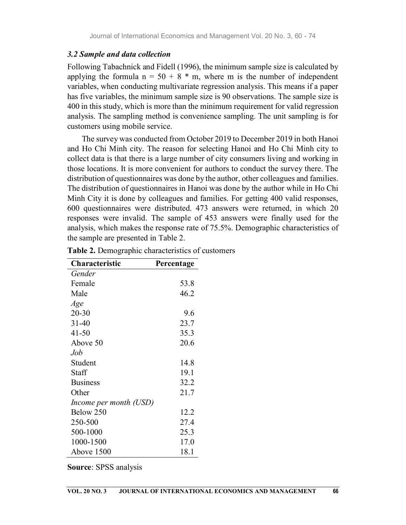#### 3.2 Sample and data collection

Following Tabachnick and Fidell (1996), the minimum sample size is calculated by applying the formula  $n = 50 + 8$  \* m, where m is the number of independent variables, when conducting multivariate regression analysis. This means if a paper has five variables, the minimum sample size is 90 observations. The sample size is 400 in this study, which is more than the minimum requirement for valid regression analysis. The sampling method is convenience sampling. The unit sampling is for customers using mobile service.

The survey was conducted from October 2019 to December 2019 in both Hanoi and Ho Chi Minh city. The reason for selecting Hanoi and Ho Chi Minh city to collect data is that there is a large number of city consumers living and working in those locations. It is more convenient for authors to conduct the survey there. The distribution of questionnaires was done by the author, other colleagues and families. The distribution of questionnaires in Hanoi was done by the author while in Ho Chi Minh City it is done by colleagues and families. For getting 400 valid responses, 600 questionnaires were distributed. 473 answers were returned, in which 20 responses were invalid. The sample of 453 answers were finally used for the analysis, which makes the response rate of 75.5%. Demographic characteristics of the sample are presented in Table 2.

| Characteristic         | Percentage |
|------------------------|------------|
| Gender                 |            |
| Female                 | 53.8       |
| Male                   | 46.2       |
| Age                    |            |
| $20 - 30$              | 9.6        |
| $31 - 40$              | 23.7       |
| $41 - 50$              | 35.3       |
| Above 50               | 20.6       |
| Job                    |            |
| Student                | 14.8       |
| Staff                  | 19.1       |
| <b>Business</b>        | 32.2       |
| Other                  | 21.7       |
| Income per month (USD) |            |
| Below 250              | 12.2       |
| 250-500                | 27.4       |
| 500-1000               | 25.3       |
| 1000-1500              | 17.0       |
| Above 1500             | 18.1       |

Table 2. Demographic characteristics of customers

Source: SPSS analysis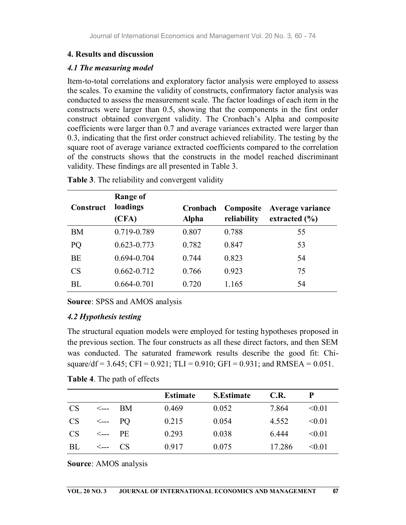### 4. Results and discussion

### 4.1 The measuring model

Item-to-total correlations and exploratory factor analysis were employed to assess the scales. To examine the validity of constructs, confirmatory factor analysis was conducted to assess the measurement scale. The factor loadings of each item in the constructs were larger than 0.5, showing that the components in the first order construct obtained convergent validity. The Cronbach's Alpha and composite coefficients were larger than 0.7 and average variances extracted were larger than 0.3, indicating that the first order construct achieved reliability. The testing by the square root of average variance extracted coefficients compared to the correlation of the constructs shows that the constructs in the model reached discriminant validity. These findings are all presented in Table 3.

| Construct | Range of<br>loadings<br>(CFA) | Cronbach<br><b>Alpha</b> | Composite<br>reliability | Average variance<br>extracted $(\% )$ |
|-----------|-------------------------------|--------------------------|--------------------------|---------------------------------------|
| BM        | 0.719-0.789                   | 0.807                    | 0.788                    | 55                                    |
| PQ        | $0.623 - 0.773$               | 0.782                    | 0.847                    | 53                                    |
| <b>BE</b> | 0.694-0.704                   | 0.744                    | 0.823                    | 54                                    |
| <b>CS</b> | $0.662 - 0.712$               | 0.766                    | 0.923                    | 75                                    |
| <b>BL</b> | $0.664 - 0.701$               | 0.720                    | 1.165                    | 54                                    |

Table 3. The reliability and convergent validity

Source: SPSS and AMOS analysis

# 4.2 Hypothesis testing

The structural equation models were employed for testing hypotheses proposed in the previous section. The four constructs as all these direct factors, and then SEM was conducted. The saturated framework results describe the good fit: Chisquare/df = 3.645; CFI = 0.921; TLI = 0.910; GFI = 0.931; and RMSEA = 0.051.

| <b>Table 4.</b> The path of effects |  |
|-------------------------------------|--|
|-------------------------------------|--|

|                                      |                 | <b>Estimate</b> | <b>S.Estimate</b> | C.R.   |        |
|--------------------------------------|-----------------|-----------------|-------------------|--------|--------|
| <b>CS</b>                            | <--- BM         | 0.469           | 0.052             | 7.864  | < 0.01 |
| $CS \leftarrow \leftarrow \text{PO}$ |                 | 0.215           | 0.054             | 4.552  | < 0.01 |
| CS                                   | $\leftarrow$ PE | 0.293           | 0.038             | 6.444  | < 0.01 |
| BL                                   | $\leftarrow$ CS | 0.917           | 0.075             | 17.286 | < 0.01 |

Source: AMOS analysis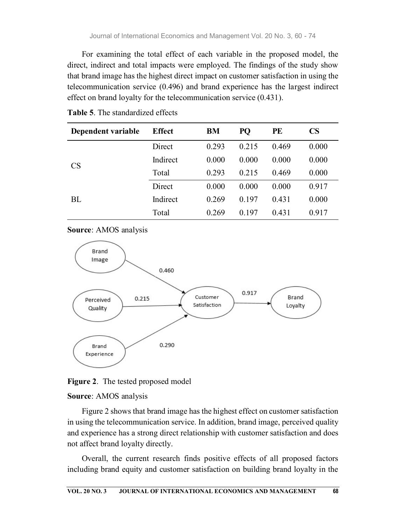For examining the total effect of each variable in the proposed model, the direct, indirect and total impacts were employed. The findings of the study show that brand image has the highest direct impact on customer satisfaction in using the telecommunication service (0.496) and brand experience has the largest indirect effect on brand loyalty for the telecommunication service (0.431).

| Dependent variable | <b>Effect</b> | BM    | PQ    | PE    | <b>CS</b> |
|--------------------|---------------|-------|-------|-------|-----------|
|                    | Direct        | 0.293 | 0.215 | 0.469 | 0.000     |
| <b>CS</b>          | Indirect      | 0.000 | 0.000 | 0.000 | 0.000     |
|                    | Total         | 0.293 | 0.215 | 0.469 | 0.000     |
|                    | Direct        | 0.000 | 0.000 | 0.000 | 0.917     |
| <b>BL</b>          | Indirect      | 0.269 | 0.197 | 0.431 | 0.000     |
|                    | Total         | 0.269 | 0.197 | 0.431 | 0.917     |

Table 5. The standardized effects

Source: AMOS analysis





#### Source: AMOS analysis

Figure 2 shows that brand image has the highest effect on customer satisfaction in using the telecommunication service. In addition, brand image, perceived quality and experience has a strong direct relationship with customer satisfaction and does not affect brand loyalty directly.

Overall, the current research finds positive effects of all proposed factors including brand equity and customer satisfaction on building brand loyalty in the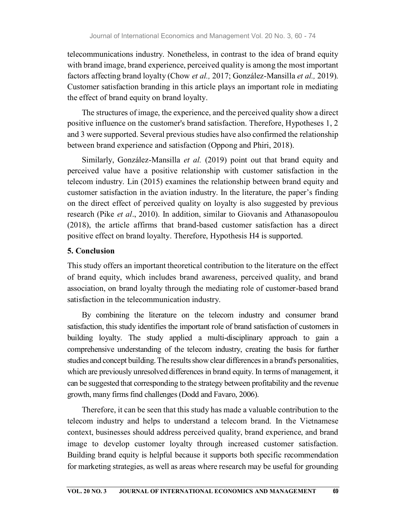telecommunications industry. Nonetheless, in contrast to the idea of brand equity with brand image, brand experience, perceived quality is among the most important factors affecting brand loyalty (Chow et al., 2017; González-Mansilla et al., 2019). Customer satisfaction branding in this article plays an important role in mediating the effect of brand equity on brand loyalty.

The structures of image, the experience, and the perceived quality show a direct positive influence on the customer's brand satisfaction. Therefore, Hypotheses 1, 2 and 3 were supported. Several previous studies have also confirmed the relationship between brand experience and satisfaction (Oppong and Phiri, 2018).

Similarly, González-Mansilla et al. (2019) point out that brand equity and perceived value have a positive relationship with customer satisfaction in the telecom industry. Lin (2015) examines the relationship between brand equity and customer satisfaction in the aviation industry. In the literature, the paper's finding on the direct effect of perceived quality on loyalty is also suggested by previous research (Pike *et al.*, 2010). In addition, similar to Giovanis and Athanasopoulou (2018), the article affirms that brand-based customer satisfaction has a direct positive effect on brand loyalty. Therefore, Hypothesis H4 is supported.

### 5. Conclusion

This study offers an important theoretical contribution to the literature on the effect of brand equity, which includes brand awareness, perceived quality, and brand association, on brand loyalty through the mediating role of customer-based brand satisfaction in the telecommunication industry.

By combining the literature on the telecom industry and consumer brand satisfaction, this study identifies the important role of brand satisfaction of customers in building loyalty. The study applied a multi-disciplinary approach to gain a comprehensive understanding of the telecom industry, creating the basis for further studies and concept building. The results show clear differences in a brand's personalities, which are previously unresolved differences in brand equity. In terms of management, it can be suggested that corresponding to the strategy between profitability and the revenue growth, many firms find challenges (Dodd and Favaro, 2006).

Therefore, it can be seen that this study has made a valuable contribution to the telecom industry and helps to understand a telecom brand. In the Vietnamese context, businesses should address perceived quality, brand experience, and brand image to develop customer loyalty through increased customer satisfaction. Building brand equity is helpful because it supports both specific recommendation for marketing strategies, as well as areas where research may be useful for grounding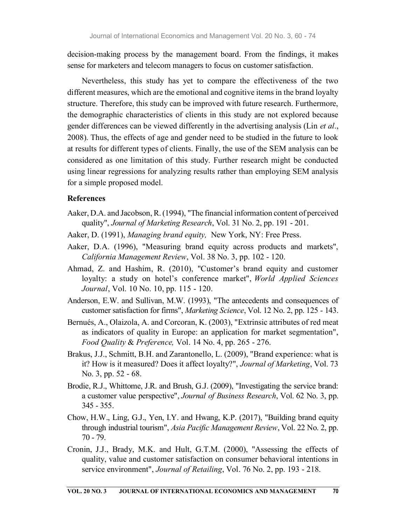decision-making process by the management board. From the findings, it makes sense for marketers and telecom managers to focus on customer satisfaction.

Nevertheless, this study has yet to compare the effectiveness of the two different measures, which are the emotional and cognitive items in the brand loyalty structure. Therefore, this study can be improved with future research. Furthermore, the demographic characteristics of clients in this study are not explored because gender differences can be viewed differently in the advertising analysis (Lin *et al.*, 2008). Thus, the effects of age and gender need to be studied in the future to look at results for different types of clients. Finally, the use of the SEM analysis can be considered as one limitation of this study. Further research might be conducted using linear regressions for analyzing results rather than employing SEM analysis for a simple proposed model.

#### **References**

- Aaker, D.A. and Jacobson, R. (1994), "The financial information content of perceived quality", Journal of Marketing Research, Vol. 31 No. 2, pp. 191 - 201.
- Aaker, D. (1991), Managing brand equity, New York, NY: Free Press.
- Aaker, D.A. (1996), "Measuring brand equity across products and markets", California Management Review, Vol. 38 No. 3, pp. 102 - 120.
- Ahmad, Z. and Hashim, R. (2010), "Customer's brand equity and customer loyalty: a study on hotel's conference market", World Applied Sciences Journal, Vol. 10 No. 10, pp. 115 - 120.
- Anderson, E.W. and Sullivan, M.W. (1993), "The antecedents and consequences of customer satisfaction for firms", Marketing Science, Vol. 12 No. 2, pp. 125 - 143.
- Bernués, A., Olaizola, A. and Corcoran, K. (2003), "Extrinsic attributes of red meat as indicators of quality in Europe: an application for market segmentation", Food Quality & Preference, Vol. 14 No. 4, pp. 265 - 276.
- Brakus, J.J., Schmitt, B.H. and Zarantonello, L. (2009), "Brand experience: what is it? How is it measured? Does it affect loyalty?", Journal of Marketing, Vol. 73 No. 3, pp. 52 - 68.
- Brodie, R.J., Whittome, J.R. and Brush, G.J. (2009), "Investigating the service brand: a customer value perspective", Journal of Business Research, Vol. 62 No. 3, pp. 345 - 355.
- Chow, H.W., Ling, G.J., Yen, I.Y. and Hwang, K.P. (2017), "Building brand equity through industrial tourism", Asia Pacific Management Review, Vol. 22 No. 2, pp. 70 - 79.
- Cronin, J.J., Brady, M.K. and Hult, G.T.M. (2000), "Assessing the effects of quality, value and customer satisfaction on consumer behavioral intentions in service environment", *Journal of Retailing*, Vol. 76 No. 2, pp. 193 - 218.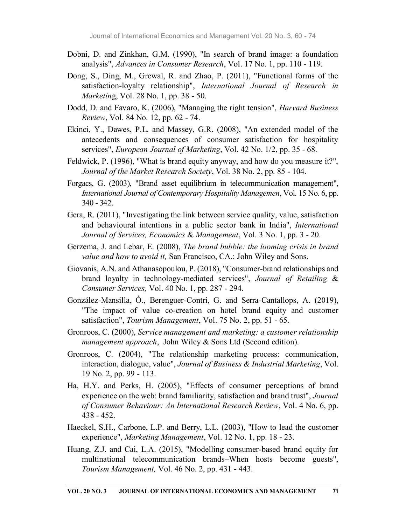- Dobni, D. and Zinkhan, G.M. (1990), "In search of brand image: a foundation analysis", Advances in Consumer Research, Vol. 17 No. 1, pp. 110 - 119.
- Dong, S., Ding, M., Grewal, R. and Zhao, P. (2011), "Functional forms of the satisfaction-loyalty relationship", International Journal of Research in Marketing, Vol. 28 No. 1, pp. 38 - 50.
- Dodd, D. and Favaro, K. (2006), "Managing the right tension", *Harvard Business* Review, Vol. 84 No. 12, pp. 62 - 74.
- Ekinci, Y., Dawes, P.L. and Massey, G.R. (2008), "An extended model of the antecedents and consequences of consumer satisfaction for hospitality services", European Journal of Marketing, Vol. 42 No. 1/2, pp. 35 - 68.
- Feldwick, P. (1996), "What is brand equity anyway, and how do you measure it?", Journal of the Market Research Society, Vol. 38 No. 2, pp. 85 - 104.
- Forgacs, G. (2003), "Brand asset equilibrium in telecommunication management", International Journal of Contemporary Hospitality Managemen, Vol. 15 No. 6, pp. 340 - 342.
- Gera, R. (2011), "Investigating the link between service quality, value, satisfaction and behavioural intentions in a public sector bank in India", International Journal of Services, Economics & Management, Vol. 3 No. 1, pp. 3 - 20.
- Gerzema, J. and Lebar, E. (2008), The brand bubble: the looming crisis in brand value and how to avoid it, San Francisco, CA.: John Wiley and Sons.
- Giovanis, A.N. and Athanasopoulou, P. (2018), "Consumer-brand relationships and brand loyalty in technology-mediated services", Journal of Retailing & Consumer Services, Vol. 40 No. 1, pp. 287 - 294.
- González-Mansilla, Ó., Berenguer-Contrí, G. and Serra-Cantallops, A. (2019), "The impact of value co-creation on hotel brand equity and customer satisfaction", Tourism Management, Vol. 75 No. 2, pp. 51 - 65.
- Gronroos, C. (2000), Service management and marketing: a customer relationship management approach, John Wiley & Sons Ltd (Second edition).
- Gronroos, C. (2004), "The relationship marketing process: communication, interaction, dialogue, value", Journal of Business & Industrial Marketing, Vol. 19 No. 2, pp. 99 - 113.
- Ha, H.Y. and Perks, H. (2005), "Effects of consumer perceptions of brand experience on the web: brand familiarity, satisfaction and brand trust", Journal of Consumer Behaviour: An International Research Review, Vol. 4 No. 6, pp. 438 - 452.
- Haeckel, S.H., Carbone, L.P. and Berry, L.L. (2003), "How to lead the customer experience", Marketing Management, Vol. 12 No. 1, pp. 18 - 23.
- Huang, Z.J. and Cai, L.A. (2015), "Modelling consumer-based brand equity for multinational telecommunication brands–When hosts become guests", Tourism Management, Vol. 46 No. 2, pp. 431 - 443.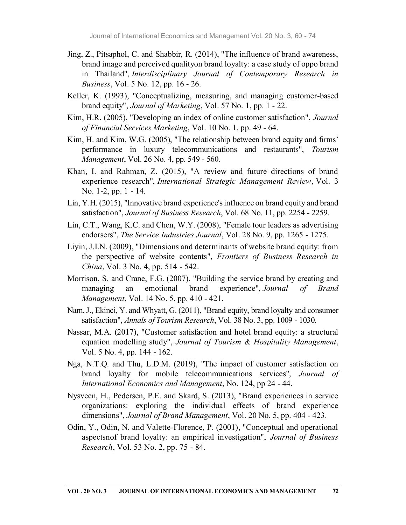- Jing, Z., Pitsaphol, C. and Shabbir, R. (2014), "The influence of brand awareness, brand image and perceived qualityon brand loyalty: a case study of oppo brand in Thailand", Interdisciplinary Journal of Contemporary Research in Business, Vol. 5 No. 12, pp. 16 - 26.
- Keller, K. (1993), "Conceptualizing, measuring, and managing customer-based brand equity", Journal of Marketing, Vol. 57 No. 1, pp. 1 - 22.
- Kim, H.R. (2005), "Developing an index of online customer satisfaction", Journal of Financial Services Marketing, Vol. 10 No. 1, pp. 49 - 64.
- Kim, H. and Kim, W.G. (2005), "The relationship between brand equity and firms' performance in luxury telecommunications and restaurants", Tourism Management, Vol. 26 No. 4, pp. 549 - 560.
- Khan, I. and Rahman, Z. (2015), "A review and future directions of brand experience research", International Strategic Management Review, Vol. 3 No. 1-2, pp. 1 - 14.
- Lin, Y.H. (2015), "Innovative brand experience's influence on brand equity and brand satisfaction", Journal of Business Research, Vol. 68 No. 11, pp. 2254 - 2259.
- Lin, C.T., Wang, K.C. and Chen, W.Y. (2008), "Female tour leaders as advertising endorsers", The Service Industries Journal, Vol. 28 No. 9, pp. 1265 - 1275.
- Liyin, J.I.N. (2009), "Dimensions and determinants of website brand equity: from the perspective of website contents", Frontiers of Business Research in China, Vol. 3 No. 4, pp. 514 - 542.
- Morrison, S. and Crane, F.G. (2007), "Building the service brand by creating and managing an emotional brand experience", Journal of Brand Management, Vol. 14 No. 5, pp. 410 - 421.
- Nam, J., Ekinci, Y. and Whyatt, G. (2011), "Brand equity, brand loyalty and consumer satisfaction", Annals of Tourism Research, Vol. 38 No. 3, pp. 1009 - 1030.
- Nassar, M.A. (2017), "Customer satisfaction and hotel brand equity: a structural equation modelling study", Journal of Tourism & Hospitality Management, Vol. 5 No. 4, pp. 144 - 162.
- Nga, N.T.Q. and Thu, L.D.M. (2019), "The impact of customer satisfaction on brand loyalty for mobile telecommunications services", Journal of International Economics and Management, No. 124, pp 24 - 44.
- Nysveen, H., Pedersen, P.E. and Skard, S. (2013), "Brand experiences in service organizations: exploring the individual effects of brand experience dimensions", Journal of Brand Management, Vol. 20 No. 5, pp. 404 - 423.
- Odin, Y., Odin, N. and Valette-Florence, P. (2001), "Conceptual and operational aspectsnof brand loyalty: an empirical investigation", Journal of Business Research, Vol. 53 No. 2, pp. 75 - 84.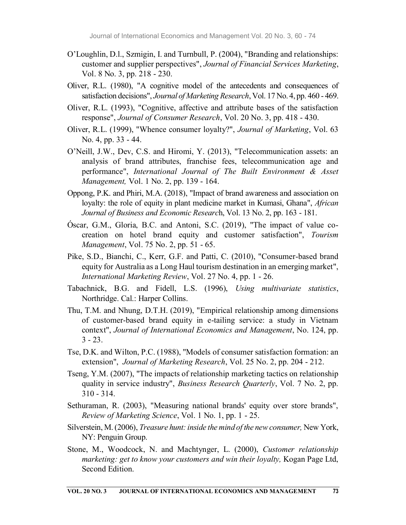- O'Loughlin, D.l., Szmigin, I. and Turnbull, P. (2004), "Branding and relationships: customer and supplier perspectives", Journal of Financial Services Marketing, Vol. 8 No. 3, pp. 218 - 230.
- Oliver, R.L. (1980), "A cognitive model of the antecedents and consequences of satisfaction decisions", Journal of Marketing Research, Vol. 17 No. 4, pp. 460 - 469.
- Oliver, R.L. (1993), "Cognitive, affective and attribute bases of the satisfaction response", Journal of Consumer Research, Vol. 20 No. 3, pp. 418 - 430.
- Oliver, R.L. (1999), "Whence consumer loyalty?", Journal of Marketing, Vol. 63 No. 4, pp. 33 - 44.
- O'Neill, J.W., Dev, C.S. and Hiromi, Y. (2013), "Telecommunication assets: an analysis of brand attributes, franchise fees, telecommunication age and performance", International Journal of The Built Environment & Asset Management, Vol. 1 No. 2, pp. 139 - 164.
- Oppong, P.K. and Phiri, M.A. (2018), "Impact of brand awareness and association on loyalty: the role of equity in plant medicine market in Kumasi, Ghana", *African* Journal of Business and Economic Research, Vol. 13 No. 2, pp. 163 - 181.
- Óscar, G.M., Gloria, B.C. and Antoni, S.C. (2019), "The impact of value cocreation on hotel brand equity and customer satisfaction", Tourism Management, Vol. 75 No. 2, pp. 51 - 65.
- Pike, S.D., Bianchi, C., Kerr, G.F. and Patti, C. (2010), "Consumer-based brand equity for Australia as a Long Haul tourism destination in an emerging market", International Marketing Review, Vol. 27 No. 4, pp. 1 - 26.
- Tabachnick, B.G. and Fidell, L.S. (1996), Using multivariate statistics, Northridge. Cal.: Harper Collins.
- Thu, T.M. and Nhung, D.T.H. (2019), "Empirical relationship among dimensions of customer-based brand equity in e-tailing service: a study in Vietnam context", Journal of International Economics and Management, No. 124, pp.  $3 - 23$ .
- Tse, D.K. and Wilton, P.C. (1988), "Models of consumer satisfaction formation: an extension", Journal of Marketing Research, Vol. 25 No. 2, pp. 204 - 212.
- Tseng, Y.M. (2007), "The impacts of relationship marketing tactics on relationship quality in service industry", *Business Research Quarterly*, Vol. 7 No. 2, pp. 310 - 314.
- Sethuraman, R. (2003), "Measuring national brands' equity over store brands", Review of Marketing Science, Vol. 1 No. 1, pp. 1 - 25.
- Silverstein, M. (2006), Treasure hunt: inside the mind of the new consumer, New York, NY: Penguin Group.
- Stone, M., Woodcock, N. and Machtynger, L. (2000), Customer relationship marketing: get to know your customers and win their loyalty, Kogan Page Ltd, Second Edition.